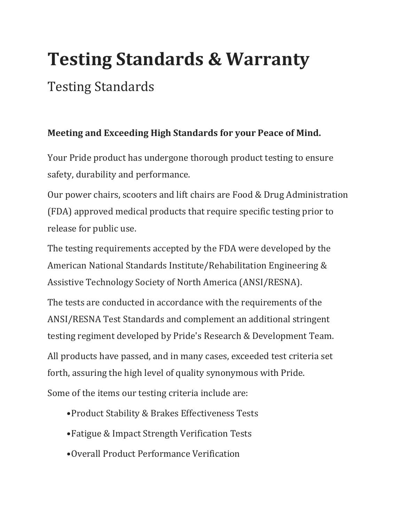## **Testing Standards & Warranty**

## Testing Standards

## **Meeting and Exceeding High Standards for your Peace of Mind.**

Your Pride product has undergone thorough product testing to ensure safety, durability and performance.

Our power chairs, scooters and lift chairs are Food & Drug Administration (FDA) approved medical products that require specific testing prior to release for public use.

The testing requirements accepted by the FDA were developed by the American National Standards Institute/Rehabilitation Engineering & Assistive Technology Society of North America (ANSI/RESNA).

The tests are conducted in accordance with the requirements of the ANSI/RESNA Test Standards and complement an additional stringent testing regiment developed by Pride's Research & Development Team. All products have passed, and in many cases, exceeded test criteria set forth, assuring the high level of quality synonymous with Pride. Some of the items our testing criteria include are:

- •Product Stability & Brakes Effectiveness Tests
- •Fatigue & Impact Strength Verification Tests
- •Overall Product Performance Verification